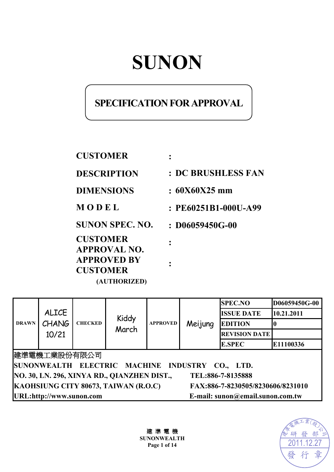# **SUNON**

# **SPECIFICATION FOR APPROVAL**

| <b>CUSTOMER</b>                        |                           |
|----------------------------------------|---------------------------|
| <b>DESCRIPTION</b>                     | <b>: DC BRUSHLESS FAN</b> |
| <b>DIMENSIONS</b>                      | $: 60X60X25$ mm           |
| MODEL                                  | : PE60251B1-000U-A99      |
| <b>SUNON SPEC. NO.</b>                 | $:106059450G-00$          |
| <b>CUSTOMER</b><br><b>APPROVAL NO.</b> |                           |
| <b>APPROVED BY</b><br><b>CUSTOMER</b>  |                           |
| (AUTHORIZED)                           |                           |

| <b>DRAWN</b>                                                              | <b>ALICE</b><br>CHANG<br>10/21 | <b>CHECKED</b> | Kiddy<br>March | <b>APPROVED</b> | Meijung | <b>SPEC.NO</b>       | D06059450G-00 |
|---------------------------------------------------------------------------|--------------------------------|----------------|----------------|-----------------|---------|----------------------|---------------|
|                                                                           |                                |                |                |                 |         | <b>ISSUE DATE</b>    | 10.21.2011    |
|                                                                           |                                |                |                |                 |         | <b>EDITION</b>       |               |
|                                                                           |                                |                |                |                 |         | <b>REVISION DATE</b> |               |
|                                                                           |                                |                |                |                 |         | <b>E.SPEC</b>        | E11100336     |
| 建準電機工業股份有限公司                                                              |                                |                |                |                 |         |                      |               |
| SUNONWEALTH ELECTRIC MACHINE INDUSTRY CO., LTD.                           |                                |                |                |                 |         |                      |               |
| NO. 30, LN. 296, XINYA RD., QIANZHEN DIST.,<br>TEL:886-7-8135888          |                                |                |                |                 |         |                      |               |
| KAOHSIUNG CITY 80673, TAIWAN (R.O.C)<br>FAX:886-7-8230505/8230606/8231010 |                                |                |                |                 |         |                      |               |
| E-mail: sunon@email.sunon.com.tw<br>URL:http://www.sunon.com              |                                |                |                |                 |         |                      |               |

建 準 電 機 **SUNONWEALTH Page 1 of 14**

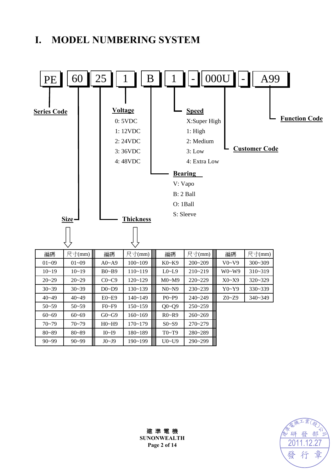# **I. MODEL NUMBERING SYSTEM**





建 準 電 機 **SUNONWEALTH Page 2 of 14**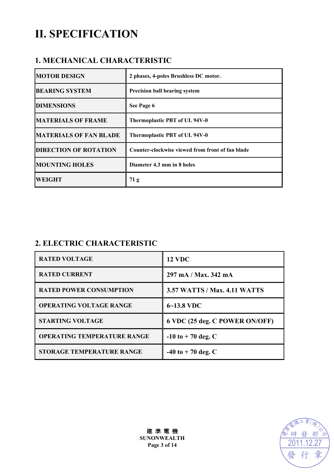# **II. SPECIFICATION**

### **1. MECHANICAL CHARACTERISTIC**

| <b>MOTOR DESIGN</b>           | 2 phases, 4-poles Brushless DC motor.            |
|-------------------------------|--------------------------------------------------|
| <b>BEARING SYSTEM</b>         | <b>Precision ball bearing system</b>             |
| <b>DIMENSIONS</b>             | See Page 6                                       |
| <b>MATERIALS OF FRAME</b>     | Thermoplastic PBT of UL 94V-0                    |
| <b>MATERIALS OF FAN BLADE</b> | Thermoplastic PBT of UL 94V-0                    |
| <b>DIRECTION OF ROTATION</b>  | Counter-clockwise viewed from front of fan blade |
| <b>MOUNTING HOLES</b>         | Diameter 4.3 mm in 8 holes                       |
| <b>WEIGHT</b>                 | 71 <sub>g</sub>                                  |

## **2. ELECTRIC CHARACTERISTIC**

| <b>RATED VOLTAGE</b>               | <b>12 VDC</b>                       |
|------------------------------------|-------------------------------------|
| <b>RATED CURRENT</b>               | 297 mA / Max. 342 mA                |
| <b>RATED POWER CONSUMPTION</b>     | <b>3.57 WATTS / Max. 4.11 WATTS</b> |
| <b>OPERATING VOLTAGE RANGE</b>     | $6 - 13.8$ VDC                      |
| <b>STARTING VOLTAGE</b>            | 6 VDC (25 deg. C POWER ON/OFF)      |
| <b>OPERATING TEMPERATURE RANGE</b> | $-10$ to $+70$ deg. C               |
| <b>STORAGE TEMPERATURE RANGE</b>   | $-40$ to $+70$ deg. C               |



建 準 電 機 **SUNONWEALTH Page 3 of 14**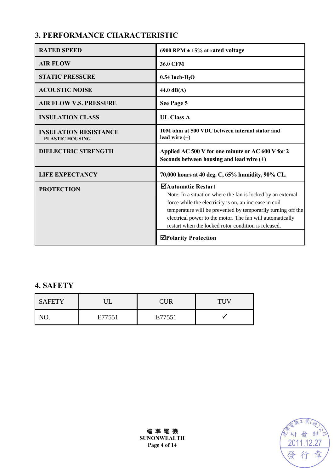# **3. PERFORMANCE CHARACTERISTIC**

| <b>RATED SPEED</b>                                     | 6900 RPM $\pm$ 15% at rated voltage                                                                                                                                                                                                                                                                                              |  |  |
|--------------------------------------------------------|----------------------------------------------------------------------------------------------------------------------------------------------------------------------------------------------------------------------------------------------------------------------------------------------------------------------------------|--|--|
| <b>AIR FLOW</b>                                        | <b>36.0 CFM</b>                                                                                                                                                                                                                                                                                                                  |  |  |
| <b>STATIC PRESSURE</b>                                 | $0.54$ Inch-H <sub>2</sub> O                                                                                                                                                                                                                                                                                                     |  |  |
| <b>ACOUSTIC NOISE</b>                                  | 44.0 $dB(A)$                                                                                                                                                                                                                                                                                                                     |  |  |
| <b>AIR FLOW V.S. PRESSURE</b>                          | See Page 5                                                                                                                                                                                                                                                                                                                       |  |  |
| <b>INSULATION CLASS</b>                                | <b>UL Class A</b>                                                                                                                                                                                                                                                                                                                |  |  |
| <b>INSULATION RESISTANCE</b><br><b>PLASTIC HOUSING</b> | 10M ohm at 500 VDC between internal stator and<br>lead wire $(+)$                                                                                                                                                                                                                                                                |  |  |
| <b>DIELECTRIC STRENGTH</b>                             | Applied AC 500 V for one minute or AC 600 V for 2<br>Seconds between housing and lead wire $(+)$                                                                                                                                                                                                                                 |  |  |
| <b>LIFE EXPECTANCY</b>                                 | 70,000 hours at 40 deg. C, 65% humidity, 90% CL.                                                                                                                                                                                                                                                                                 |  |  |
| <b>PROTECTION</b>                                      | ⊠Automatic Restart<br>Note: In a situation where the fan is locked by an external<br>force while the electricity is on, an increase in coil<br>temperature will be prevented by temporarily turning off the<br>electrical power to the motor. The fan will automatically<br>restart when the locked rotor condition is released. |  |  |
|                                                        | <b>⊠Polarity Protection</b>                                                                                                                                                                                                                                                                                                      |  |  |

## **4. SAFETY**

| <b>SAFETY</b> |        | <b>CUR</b> |  |
|---------------|--------|------------|--|
|               | E77551 | E77551     |  |



建 準 電 機 **SUNONWEALTH Page 4 of 14**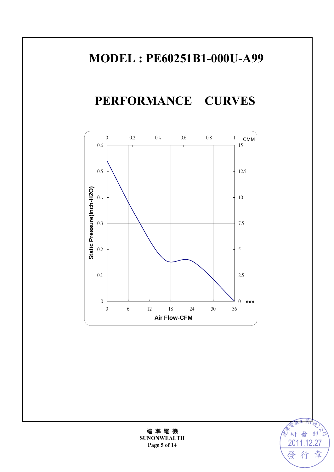# **MODEL : PE60251B1-000U-A99**

**PERFORMANCE CURVES** 





建 準 電 機 **SUNONWEALTH Page 5 of 14**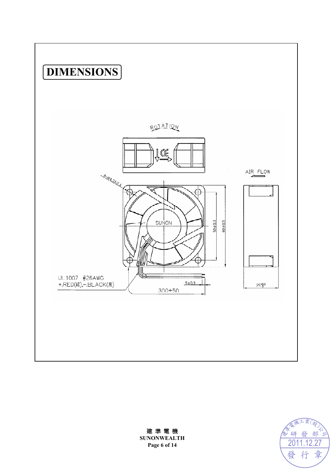



建 準 電 機 **SUNONWEALTH Page 6 of 14**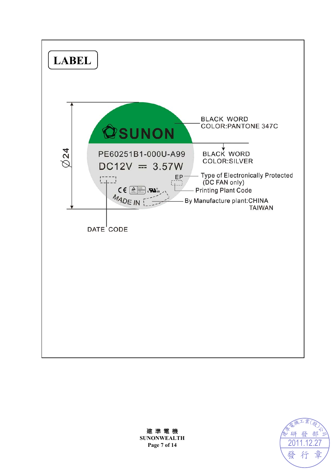



建 準 電 機 **SUNONWEALTH Page 7 of 14**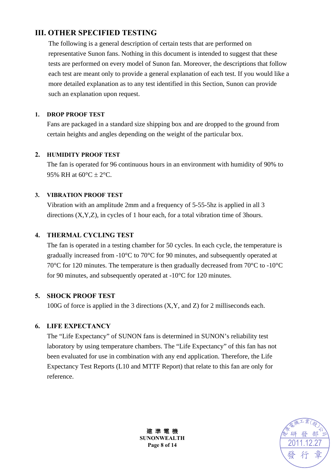### **III. OTHER SPECIFIED TESTING**

The following is a general description of certain tests that are performed on representative Sunon fans. Nothing in this document is intended to suggest that these tests are performed on every model of Sunon fan. Moreover, the descriptions that follow each test are meant only to provide a general explanation of each test. If you would like a more detailed explanation as to any test identified in this Section, Sunon can provide such an explanation upon request.

#### **1. DROP PROOF TEST**

Fans are packaged in a standard size shipping box and are dropped to the ground from certain heights and angles depending on the weight of the particular box.

#### **2. HUMIDITY PROOF TEST**

The fan is operated for 96 continuous hours in an environment with humidity of 90% to 95% RH at  $60^{\circ}$ C  $\pm$  2°C.

#### **3. VIBRATION PROOF TEST**

Vibration with an amplitude 2mm and a frequency of 5-55-5hz is applied in all 3 directions (X,Y,Z), in cycles of 1 hour each, for a total vibration time of 3hours.

#### **4. THERMAL CYCLING TEST**

The fan is operated in a testing chamber for 50 cycles. In each cycle, the temperature is gradually increased from -10°C to 70°C for 90 minutes, and subsequently operated at 70°C for 120 minutes. The temperature is then gradually decreased from 70°C to -10°C for 90 minutes, and subsequently operated at -10°C for 120 minutes.

#### **5. SHOCK PROOF TEST**

100G of force is applied in the 3 directions (X,Y, and Z) for 2 milliseconds each.

#### **6. LIFE EXPECTANCY**

The "Life Expectancy" of SUNON fans is determined in SUNON's reliability test laboratory by using temperature chambers. The "Life Expectancy" of this fan has not been evaluated for use in combination with any end application. Therefore, the Life Expectancy Test Reports (L10 and MTTF Report) that relate to this fan are only for reference.



建 準 電 機 **SUNONWEALTH Page 8 of 14**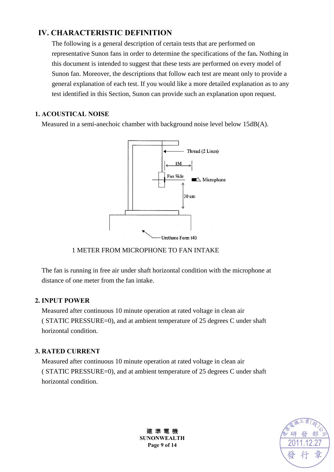### **IV. CHARACTERISTIC DEFINITION**

The following is a general description of certain tests that are performed on representative Sunon fans in order to determine the specifications of the fan**.** Nothing in this document is intended to suggest that these tests are performed on every model of Sunon fan. Moreover, the descriptions that follow each test are meant only to provide a general explanation of each test. If you would like a more detailed explanation as to any test identified in this Section, Sunon can provide such an explanation upon request.

#### **1. ACOUSTICAL NOISE**

Measured in a semi-anechoic chamber with background noise level below 15dB(A).



#### 1 METER FROM MICROPHONE TO FAN INTAKE

The fan is running in free air under shaft horizontal condition with the microphone at distance of one meter from the fan intake.

#### **2. INPUT POWER**

Measured after continuous 10 minute operation at rated voltage in clean air ( STATIC PRESSURE=0), and at ambient temperature of 25 degrees C under shaft horizontal condition.

#### **3. RATED CURRENT**

Measured after continuous 10 minute operation at rated voltage in clean air ( STATIC PRESSURE=0), and at ambient temperature of 25 degrees C under shaft horizontal condition.



建 準 電 機 **SUNONWEALTH Page 9 of 14**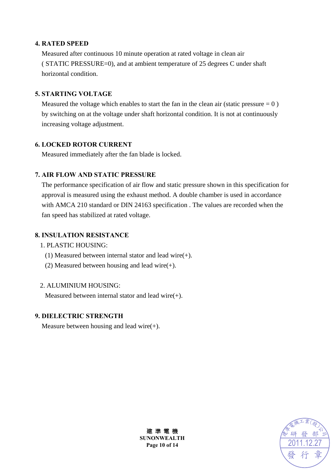#### **4. RATED SPEED**

Measured after continuous 10 minute operation at rated voltage in clean air ( STATIC PRESSURE=0), and at ambient temperature of 25 degrees C under shaft horizontal condition.

#### **5. STARTING VOLTAGE**

Measured the voltage which enables to start the fan in the clean air (static pressure  $= 0$ ) by switching on at the voltage under shaft horizontal condition. It is not at continuously increasing voltage adjustment.

#### **6. LOCKED ROTOR CURRENT**

Measured immediately after the fan blade is locked.

#### **7. AIR FLOW AND STATIC PRESSURE**

The performance specification of air flow and static pressure shown in this specification for approval is measured using the exhaust method. A double chamber is used in accordance with AMCA 210 standard or DIN 24163 specification . The values are recorded when the fan speed has stabilized at rated voltage.

#### **8. INSULATION RESISTANCE**

#### 1. PLASTIC HOUSING:

- (1) Measured between internal stator and lead wire(+).
- (2) Measured between housing and lead wire $(+)$ .

#### 2. ALUMINIUM HOUSING:

Measured between internal stator and lead wire(+).

#### **9. DIELECTRIC STRENGTH**

Measure between housing and lead wire $(+)$ .



建 準 電 機 **SUNONWEALTH Page 10 of 14**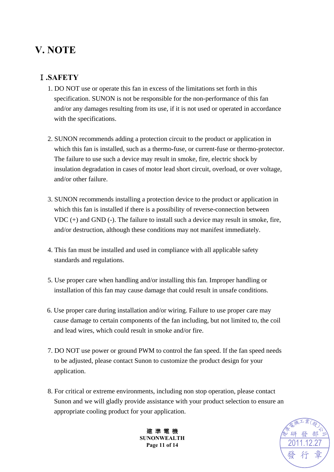# **V. NOTE**

# Ⅰ**.SAFETY**

- 1. DO NOT use or operate this fan in excess of the limitations set forth in this specification. SUNON is not be responsible for the non-performance of this fan and/or any damages resulting from its use, if it is not used or operated in accordance with the specifications.
- 2. SUNON recommends adding a protection circuit to the product or application in which this fan is installed, such as a thermo-fuse, or current-fuse or thermo-protector. The failure to use such a device may result in smoke, fire, electric shock by insulation degradation in cases of motor lead short circuit, overload, or over voltage, and/or other failure.
- 3. SUNON recommends installing a protection device to the product or application in which this fan is installed if there is a possibility of reverse-connection between VDC (+) and GND (-). The failure to install such a device may result in smoke, fire, and/or destruction, although these conditions may not manifest immediately.
- 4. This fan must be installed and used in compliance with all applicable safety standards and regulations.
- 5. Use proper care when handling and/or installing this fan. Improper handling or installation of this fan may cause damage that could result in unsafe conditions.
- 6. Use proper care during installation and/or wiring. Failure to use proper care may cause damage to certain components of the fan including, but not limited to, the coil and lead wires, which could result in smoke and/or fire.
- 7. DO NOT use power or ground PWM to control the fan speed. If the fan speed needs to be adjusted, please contact Sunon to customize the product design for your application.
- 8. For critical or extreme environments, including non stop operation, please contact Sunon and we will gladly provide assistance with your product selection to ensure an appropriate cooling product for your application.



建 準 電 機 **SUNONWEALTH Page 11 of 14**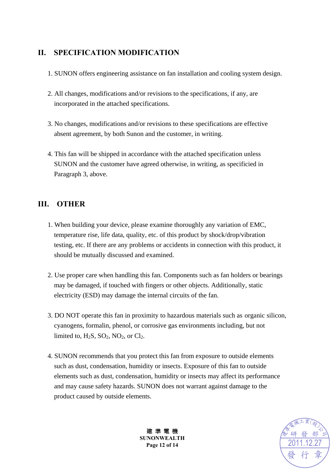### **II. SPECIFICATION MODIFICATION**

- 1. SUNON offers engineering assistance on fan installation and cooling system design.
- 2. All changes, modifications and/or revisions to the specifications, if any, are incorporated in the attached specifications.
- 3. No changes, modifications and/or revisions to these specifications are effective absent agreement, by both Sunon and the customer, in writing.
- 4. This fan will be shipped in accordance with the attached specification unless SUNON and the customer have agreed otherwise, in writing, as specificied in Paragraph 3, above.

### **III. OTHER**

- 1. When building your device, please examine thoroughly any variation of EMC, temperature rise, life data, quality, etc. of this product by shock/drop/vibration testing, etc. If there are any problems or accidents in connection with this product, it should be mutually discussed and examined.
- 2. Use proper care when handling this fan. Components such as fan holders or bearings may be damaged, if touched with fingers or other objects. Additionally, static electricity (ESD) may damage the internal circuits of the fan.
- 3. DO NOT operate this fan in proximity to hazardous materials such as organic silicon, cyanogens, formalin, phenol, or corrosive gas environments including, but not limited to,  $H_2S$ ,  $SO_2$ ,  $NO_2$ , or  $Cl_2$ .
- 4. SUNON recommends that you protect this fan from exposure to outside elements such as dust, condensation, humidity or insects. Exposure of this fan to outside elements such as dust, condensation, humidity or insects may affect its performance and may cause safety hazards. SUNON does not warrant against damage to the product caused by outside elements.



建 準 電 機 **SUNONWEALTH Page 12 of 14**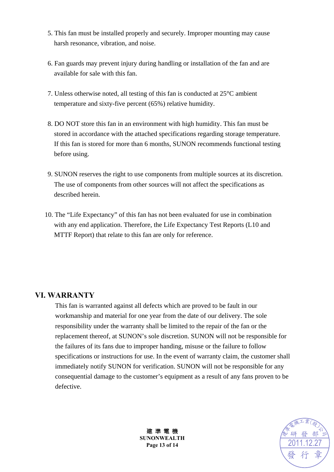- 5. This fan must be installed properly and securely. Improper mounting may cause harsh resonance, vibration, and noise.
- 6. Fan guards may prevent injury during handling or installation of the fan and are available for sale with this fan.
- 7. Unless otherwise noted, all testing of this fan is conducted at 25°C ambient temperature and sixty-five percent (65%) relative humidity.
- 8. DO NOT store this fan in an environment with high humidity. This fan must be stored in accordance with the attached specifications regarding storage temperature. If this fan is stored for more than 6 months, SUNON recommends functional testing before using.
- 9. SUNON reserves the right to use components from multiple sources at its discretion. The use of components from other sources will not affect the specifications as described herein.
- 10. The "Life Expectancy" of this fan has not been evaluated for use in combination with any end application. Therefore, the Life Expectancy Test Reports (L10 and MTTF Report) that relate to this fan are only for reference.

#### **VI. WARRANTY**

This fan is warranted against all defects which are proved to be fault in our workmanship and material for one year from the date of our delivery. The sole responsibility under the warranty shall be limited to the repair of the fan or the replacement thereof, at SUNON's sole discretion. SUNON will not be responsible for the failures of its fans due to improper handing, misuse or the failure to follow specifications or instructions for use. In the event of warranty claim, the customer shall immediately notify SUNON for verification. SUNON will not be responsible for any consequential damage to the customer's equipment as a result of any fans proven to be defective.



建 準 電 機 **SUNONWEALTH Page 13 of 14**